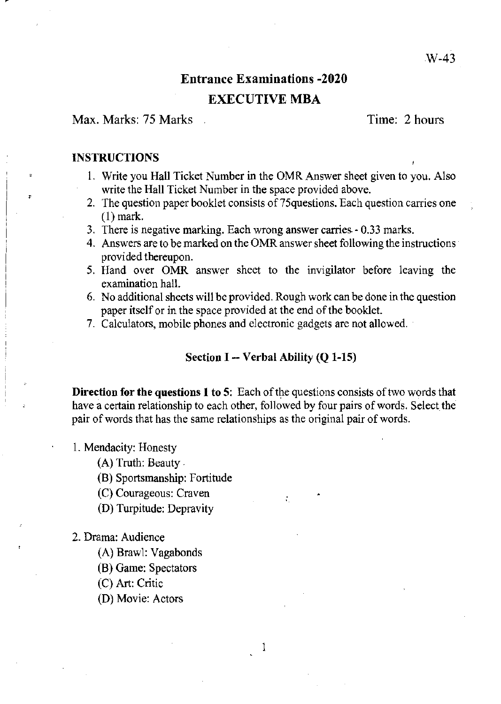# Entrance Examinations -2020

## EXECUTIVE MBA

Max. Marks: 75 Marks Time: 2 hours

#### **INSTRUCTIONS**

,

- I. Write you Hall Ticket Number in tbe OMR Answer sheet given to you. Also write the Hall Ticket Number in the space provided above.
- 2. The question paper booklet consists of 75 questions. Each question carries one (I) mark.
- 3. There is negative marking. Each wrong answer carries 0.33 marks.
- 4. Answers are to be marked on the OMR answer sheet following the instructions provided thereupon.
- 5. Hand over OMR answer sheet to the invigilator before leaving tbe examination hall.
- 6. No additional sheets will be provided. Rough work can be done in the question paper itself or in the space provided at the end of the booklet.
- 7. Calculators, mobile phones and electronic gadgets are not allowed.

#### Section I  $-$  Verbal Ability (Q 1-15)

**Direction for the questions 1 to 5:** Each of the questions consists of two words that have a certain relationship to each other, followed by four pairs of words. Select the pair of words that has the same relationships as the original pair of words.

I

•

1. Mendacity: Honesty

(A) Trutb: Beauty .

(B) Sportsmanship: Fortitude

(C) Courageous: Craven

- (D) Turpitude: Depravity
- 2. Drama: Audience
	- (A) Brawl: Vagabonds
	- (B) Game: Spectators
	- (C) Art: Critic
	- (D) Movie: Actors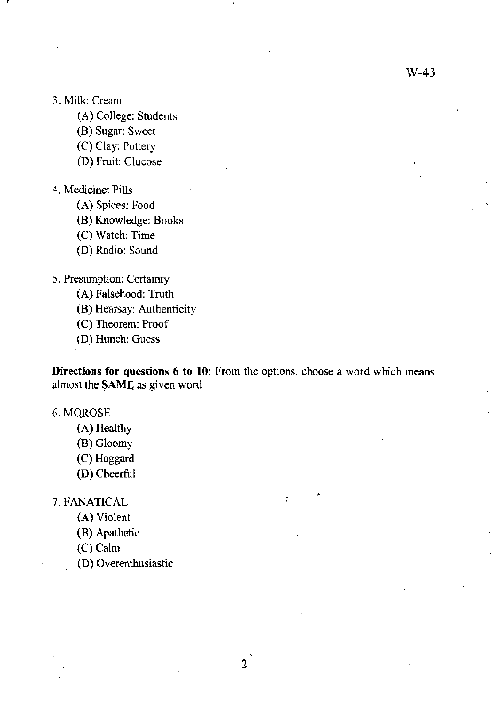#### 3. Milk: Cream

- (A) College: Students
- (B) Sugar: Sweet
- (C) Clay: Pottery
- (D) Fruit: Glucose

#### 4. Medicine: Pills

- (A) Spices: Food
- (B) Knowledge: Books
- (C) Watch: Time
- (D) Radio: Sound

## 5. Presumption: Certainty

- (A) Falsehood: Truth
- (B) Hearsay: Authenticity
- (C) Theorem: Proof
- (D) Hunch: Guess

**Directions for questions 6 to 10:** From the options, choose a word which means almost the **SAME** as given word

•

÷.

#### 6. MOROSE

- (A) Healthy
- (B) Gloomy
- (C) Haggard
- (D) Cheerful

7. FANATICAL

- (A) Violent
- (B) Apathetic
- (C) Calm
- (D) Overenthusiastic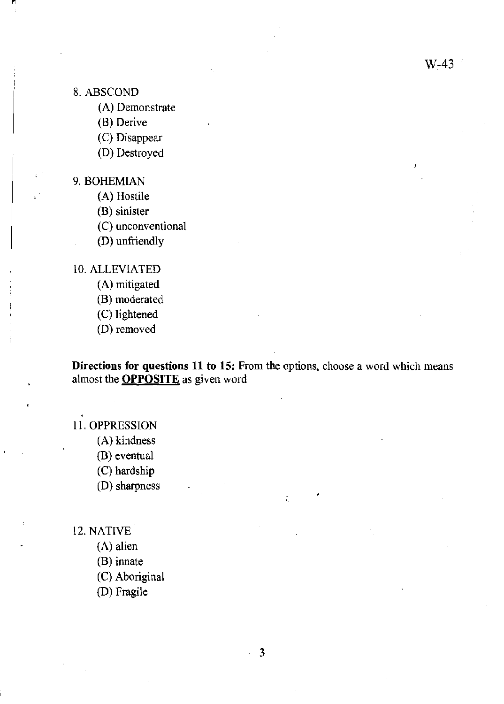- 8. ABSCOND
	- (A) Demonstrate

(B) Derive

(C) Disappear

(D) Destroyed

9. BOHEMIAN

(A) Hostile

(B) sinister

(C) unconventional

(D) unfriendly

10. ALLEVIATED

(A) mitigated

(B) moderated

(C) lightened

(D) removed

**Directions for questions 11 to 15:** From the options, choose a word which means almost the **OPPOSITE** as given word

•

### II. OPPRESSION

- (A) kindness
- (B) eventual

(C) hardship

(D) sharpness

12. NATIVE

(A) alien

(B) innate

(C) Aboriginal

(D) Fragile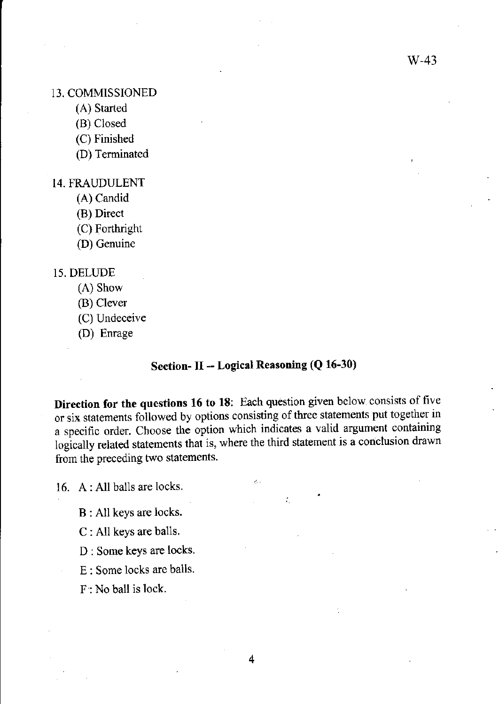#### 13. COMMISSIONED

- (A) Started
- (B) Closed
- (C) Finished
- (D) Terminated

#### 14. FRAUDULENT

- (A) Candid
- (B) Direct
- (C) Forthright
- (D) Genuine

#### 15. DELUDE

- (A) Show
- (B) Clever
- (C) Undeceive
- (D) Enrage

## **Section- II -- Logical Reasoning (Q 16-30)**

**Direction for the questions 16 to 18:** Each question given below consists of five or six statements followed by options consisting of three statements put together in a specific order. Choose the option which indicates a valid argument containing logically related statements that is, where the third statement is a conclusion drawn from the preceding two statements.

 $c^{\rm I}_{\rm eff}$  .

•

16. A: All balls are locks.

B : All keys are locks.

- C : All keys are balls.
- D : Some keys are locks.
- E : Some locks are balls.
- F: No ball is lock.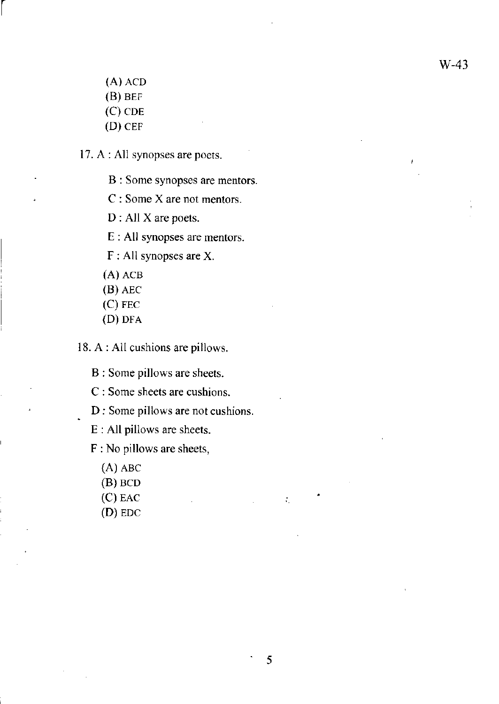(A) ACD

r

- $(B)$  BEF
- $(C)$  CDE
- (D) CEF

17. A : All synopses are poets.

- B : Some synopses are mentors.
- C : Some X are not mentors.
- D : All X are poets.

E : All synopses are mentors.

- F : All synopses are X.
- (A) ACB
- (8) AEC
- (C) FEC
- (D) DFA

18. A : All cushions are pillows.

8 : Some pillows are sheets.

C : Some sheets are cushions.

D : Some pillows are not cushions.

E : All pillows are sheets.

F : No pillows are sheets,

- (A) ABC
- (B) BCD
- (C) EAC
- (D) EDC

•

 $\mathcal{I}_1$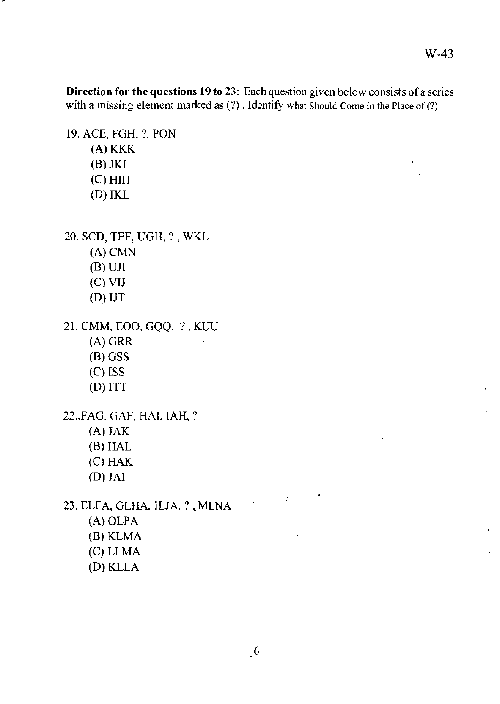W-43

**Direction for the questions 19 to 23:** Each question given below consists of a series with a missing element marked as  $(?)$ . Identify what Should Come in the Place of  $(?)$ 

19. ACE, FGH, ?, PON

- (A) KKK
- (B) JKI
- (C) HIH
- (D) IKL

20. SCO, TEF, UGH, ? , WKL

- (A) CMN
- $(B)$  UJI
- (C) VIJ
- (D) IJT

21. CMM, EOO, GQQ, ?, KUU

- (A) GRR
- (B) GSS
- (C) ISS
- (D) ITT

22 .• FAG, GAF, HAl, IAH, ?

- (A) JAK
- (B) HAL
- (C) HAK
- (D) JAI

23. ELFA, GLHA, ILJA, ?, MLNA

- (A) OLPA (B) KLMA
- (C) LLMA
- (O)KLLA

•

 $\mathcal{L}_\mathrm{c}$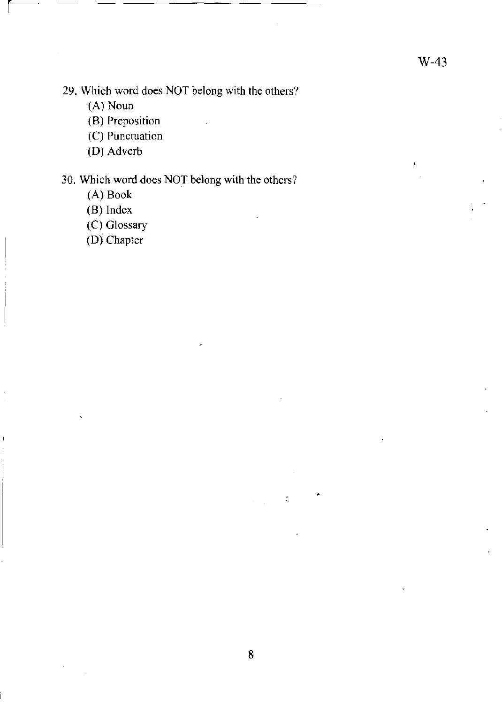$\bar{I}$ 

29. Which word does NOT belong with the others?

(A) Noun

r-

(B) Preposition

(C) Punctuation

**(D)** Adverb

## 30. Which word does NOT belong with the others?

(A) Book

(B) Index

(C) Glossary

**(D)** Chapter

•

 $\zeta$ 

 $\mathcal{L}^{\text{max}}$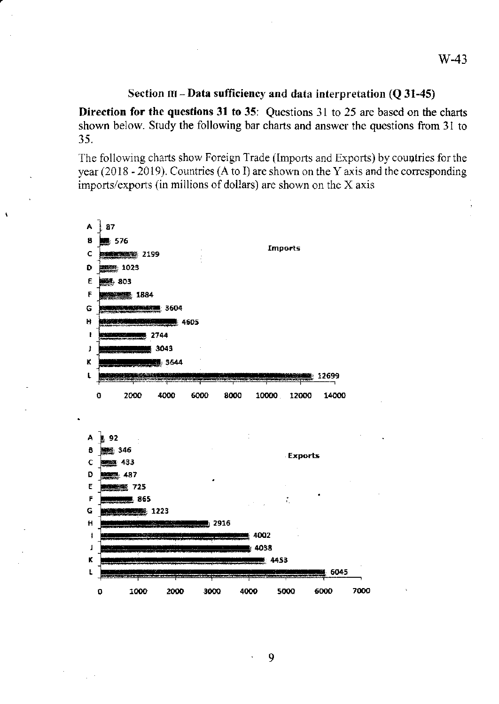#### Section  $III - Data$  sufficiency and data interpretation (Q 31-45)

Direction for the questions 31 to 35: Questions 31 to 25 are based on the charts shown below. Study the following bar charts and answer the questions from 31 to 35.

The following charts show Foreign Trade (Imports and Exports) by countries for the year (20 18 - 2019). Countries (A to J) are shown on the Y axis and the corresponding imports/exports (in millions of dollars) are shown on the X axis

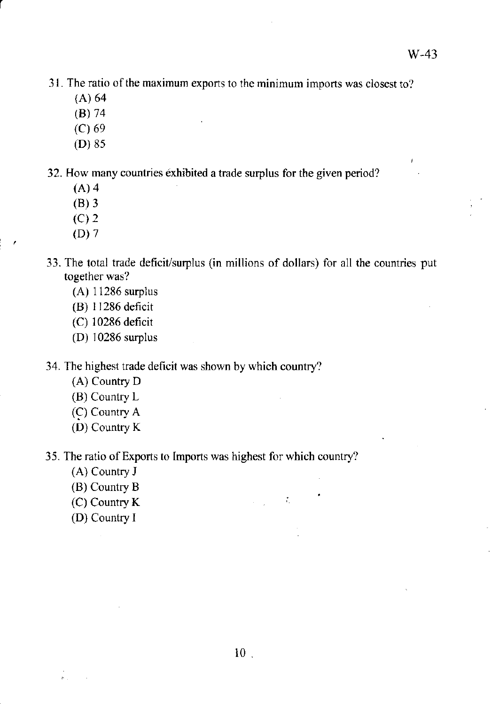31. The ratio of the maximum exports to the minimum imports was closest to?

(A) 64

r

- (S) 74
- (C) 69
- (D) 85

32. How many countries exhibited a trade surplus for the given period?

- (A) 4
- (8) 3
- (C) 2
- (D) 7
- 33. The total trade deficit/surplus (in millions of dollars) for all the countries put together was?
	- (A) 11286 surplus
	- (8) 11286 deficit
	- (C) 10286 deficit
	- (D) 10286 surplus

34. The highest trade deficit was shown by which country?

- (A) Country D
- (8) Country L
- (C) Country A
- (D) Country K

35. The ratio of Exports to Imports was highest for which country?

- (A) Country J
- (8) Country 8
- (C) Country K
- (D) Country I

 $\sim 10^6$ 

 $\mathcal{L}^{\text{max}}(\mathcal{L}^{\text{max}})$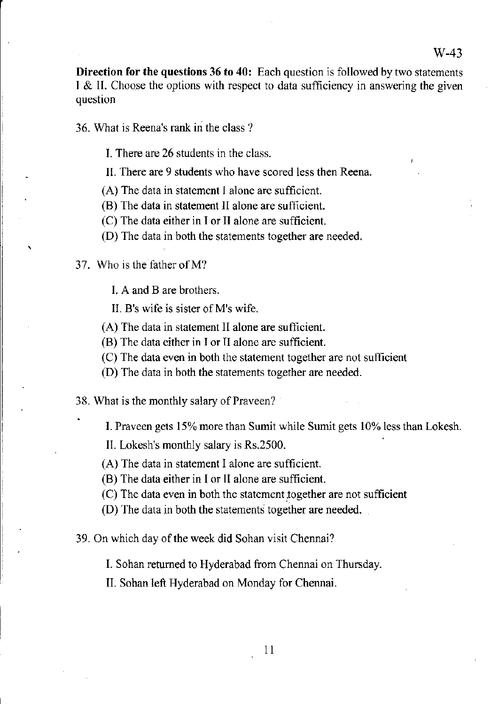Direction for the questions 36 to 40: Each question is followed by two statements I & II. Choose the options with respect to data sufficiency in answering the given question

36. What is Reena's rank in the class?

- I. There are 26 students in the class.
- II. There are 9 students who have scored less then Reena.
- (A) The data in statement I alone are sufficient.
- (B) The data in statement II alone are sufficient.
- (C) The data either in I or II alone are sufficient.
- (D) The data in both the statements together are needed.
- 37. Who is the father of M?

 $\mathbf{r}$ 

- I. A and B are brothers.
- II. B's wife is sister ofM's wife.
- (A) The data in statement II alone are sufficient.
- (B) The data either in I or II alone are sufficient.
- (C) The data even in both the statement together are not sufficient
- (D) The data in both the statements together are needed.

38. What is the monthly salary of Praveen?

I. Praveen gets 15% more than Sumit while Sumit gets 10% less than Lokesh.

II. Lokesh's monthly salary is Rs.2500.

(A) The data in statement I alone are sufficient.

- (B) The data either in I or II alone are sufficient.
- (C) The data even in both the statement together are not sufficient
- (D) The data in both the statements together are needed.

39. On which day of the week did Sohan visit Chennai?

I. Sohan returned to Hyderabad from Chennai on Thursday.

II. Sohan left Hyderabad on Monday for Chennai.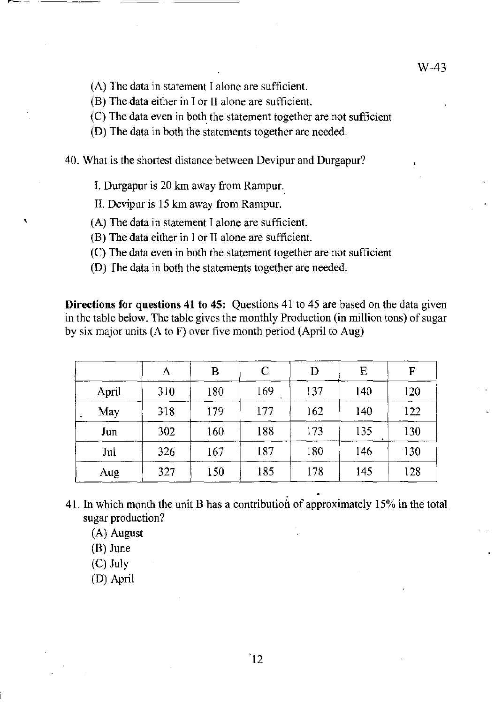- (A) The data in statement I alone are sufficient.
- (B) The data either in I or II alone are sufficient.
- (C) The data even in both the statement together are not sufficient
- (D) The data in both the statements together are needed.
- 40. What is the shortest distance between Devipur and Durgapur?
	- 1. Durgapur is 20 km away from Rampur.
	- II. Devipur is 15 km away from Rampur.
	- (A) The data in statement I alone are sufficient.
	- (B) The data either in I or II alone are sufficient.
	- (C) The data even in both the statement together are not sufficient
	- (D) The data in both the statements together are needed.

**Directions for questions 41 to 45:** Questions 41 to 45 are based on the data given in the table below. The table gives the monthly Production (in million tons) of sugar by six major nnits (A to F) over five month period (April to Aug)

|       | А   | B   | C   | D   | E   | F   |
|-------|-----|-----|-----|-----|-----|-----|
| April | 310 | 180 | 169 | 137 | 140 | 120 |
| May   | 318 | 179 | 177 | 162 | 140 | 122 |
| Jun   | 302 | 160 | 188 | 173 | 135 | 130 |
| Jul   | 326 | 167 | 187 | 180 | 146 | 130 |
| Aug   | 327 | 150 | 185 | 178 | 145 | 128 |

41. In which month the unit B has a contribution of approximately 15% in the total sugar production?

- (A) August
- $(B)$  June

 $\mathbf{r}$ 

- (C) July
- (D) April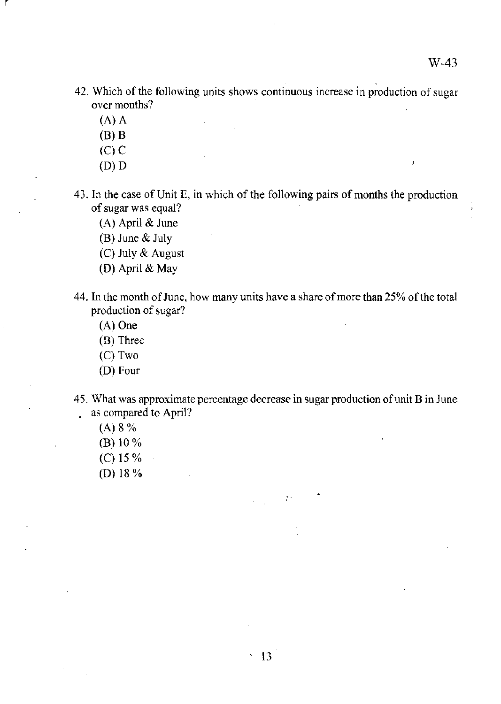- 42. Which of the following units shows continuous increase in production of sugar over months?
	- (A) A

r

- (B) B
- (C) C
- (D) D

43. In the case of Unit E, in which of the following pairs of months the production of sugar was equal?

(A) April & June

(B) June & July

(C) July & August

- (D) April & May
- 44. In the month of June, how many units have a share of more than 25% of the total production of sugar?
	- (A) One
	- (B) Three
	- (C) Two
	- (D) Four
- 45. What was approximate percentage decrease in sugar production of unit B in June as compared to April?

 $\mathcal{I}^{\text{in}}_{\text{in}}$ 

- (A) 8 %
- (B) 10 %
- (C) 15 %
- (0) 18 %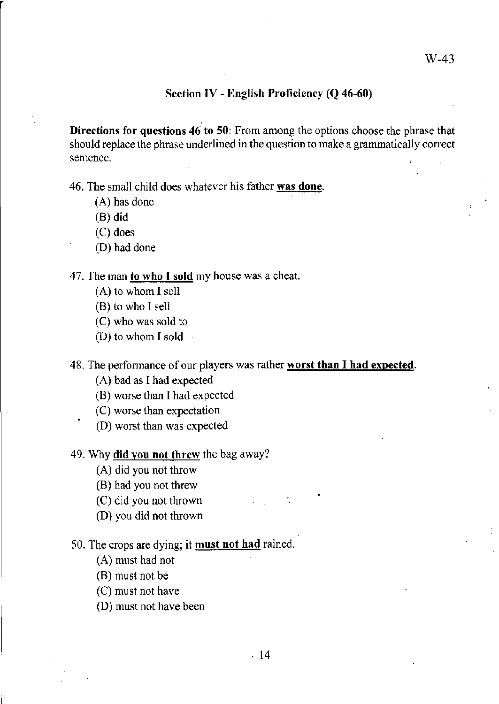#### Section IV - English Proficiency (Q 46-60)

Directions for questions 46 to 50: From among the options choose the phrase that should replace the phrase underlined in the question to make a grammatically correct sentence.

46. The small child does whatever his father was done.

- (A) has done
- (B) did
- (C) does
- (D) had done

#### 47. The man to who I sold my house was a cheat.

- (A) to whom I sell
- (B) to who I sell
- (C) who was sold to
- (D) to whom I sold

#### 48. The performance of our players was rather worst than I had expected.

- (A) bad as I had expected
- (B) worse than I had expected
- (C) worse than expectation
- (D) worst than was expected

#### 49. Why **did you not threw** the bag away?

- (A) did you not throw
- (B) had you not threw
- (C) did you not thrown
- (D) you did not thrown

#### 50. The crops are dying; it must not had rained.

- (A) must had not
- (B) must not be
- (C) must not have
- (D) must not have been

•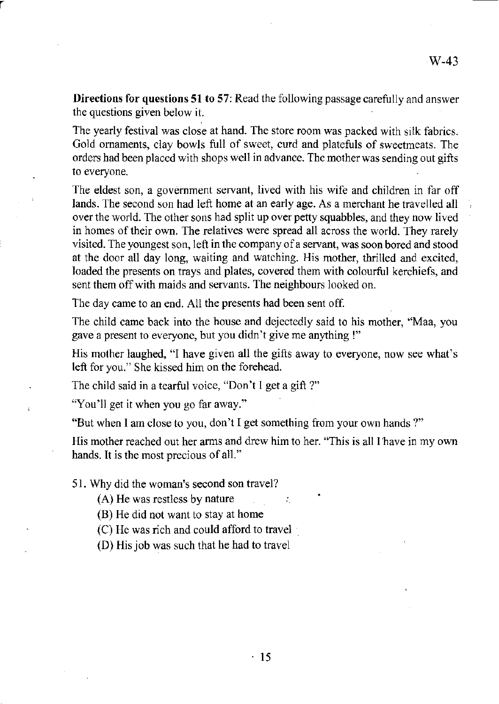**Directions for questions 51 to** 57: Read the following passage carefully and answer the questions given below it.

The yearly festival was close at hand. The store room was packed with silk fabrics. Gold ornaments, clay bowls full of sweet, curd and platefuls of sweetmeats. The orders had been placed with shops well in advance. The mother was sending out gifts to everyone.

The eldest son, a government servant, lived with his wife and children in far off lands. The second son had left home at an early age. As a merchant he travelled all over the world. The other sons had split up over petty squabbles, and they now lived in homes of their own. The relatives were spread all across the world. They rarely visited. The youngest son, left in the company of a servant, was soon bored and stood at the door all day long, waiting and watching. His mother, thrilled and excited, loaded the presents on trays and plates, covered them with colourful kerchiefs, and sent them off with maids and servants. The neighbours looked on.

The day came to an end. All the presents had been sent off.

The child came back into the house and dejectedly said to his mother, "Maa, you gave a present to everyone, but you didn't give me anything !"

His mother laughed, "I have given all the gifts away to everyone, now see what's left for you." She kissed him on the forehead.

The child said in a tearful voice, "Don't I get a gift?"

"You'll get it when you go far away."

r

"But when I am close to you, don't I get something from your own hands ?"

His mother reached out her arms and drew him to her. "This is all I have in my own hands. It is the most precious of all."

•

51. Why did the woman's second son travel?

(A) He was restless by nature

(B) He did not want to stay at home

(C) He was rich and could afford to travel

(D) His job was such that he had to travel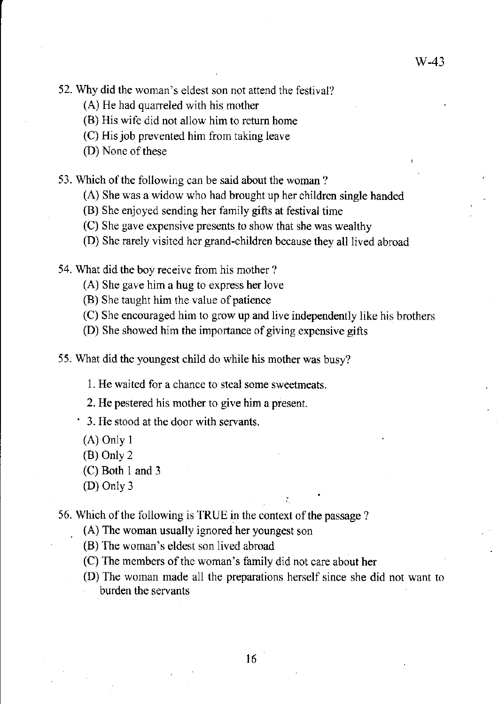- 52. Why did the woman's eldest son not attend the festival?
	- (A) He had quarreled with his mother
	- (B) His wife did not allow him to return home
	- (C) His job prevented him from taking leave
	- (D) None of these

53. Which of the following can be said about the woman?

- (A) She was a widow who had brought up her children single handed
- (B) She enjoyed sending her family gifts at festival time
- (C) She gave expensive presents to show that she was wealthy
- (D) She rarely visited her grand-children because they all lived abroad

54. What did the boy receive from his mother?

(A) She gave him a hug to express her love

- (B) She taught him the value of patience
- (C) She encouraged him to grow up and live independently like his brothers
- (D) She showed him the importance of giving expensive gifts

55. What did the youngest child do while his mother was busy?

1. He waited for a chance to steal some sweetmeats.

2. He pestered his mother to give him a present.

3. He stood at the door with servants.

- (A) Only 1
- (B) Only 2
- (C) Both 1 and 3
- (D) Only 3

56. Which of the following is TRUE in the context of the passage?

(A) The woman usually ignored her youngest son

- (B) The woman's eldest son lived abroad
- (C) The members of the woman's family did not care about her
- (D) The woman made all the preparations herself since she did not want to burden the servants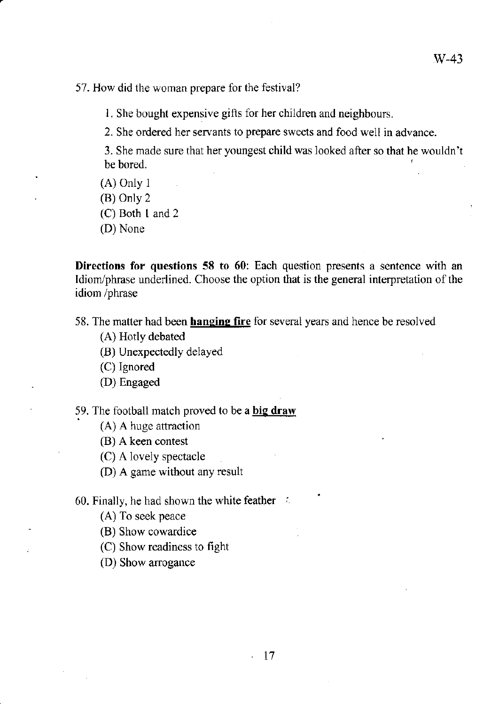57. How did the woman prepare for the festival?

1. She bought expensive gifts for her children and neighbours.

2. She ordered her servants to prepare sweets and food well in advance.

3. She made sure that her youngest child was looked after so that he wouldn't  $~\bullet~$  be bored.

- (A) Only I
- (B) Only 2
- (C) Both 1 and 2
- (D) None

**Directions for questions 58 to 60:** Each question presents a sentence with an Idiom/phrase underlined. Choose the option that is the general interpretation of the idiom /phrase

58. The matter had been **hanging fire** for several years and hence be resolved

- (A) Hotly debated
- (B) Unexpectedly delayed
- (C) Ignored
- (D) Engaged

59. The football match proved to be a **big draw** 

- (A) A huge attraction
- (B) A keen contest
- (C) A lovely spectacle
- (D) A game without any result

60. Finally, he had shown the white feather  $\therefore$ 

(A) To seek peace

- (B) Show cowardice
- (C) Show readiness to fight
- (D) Show arrogance

•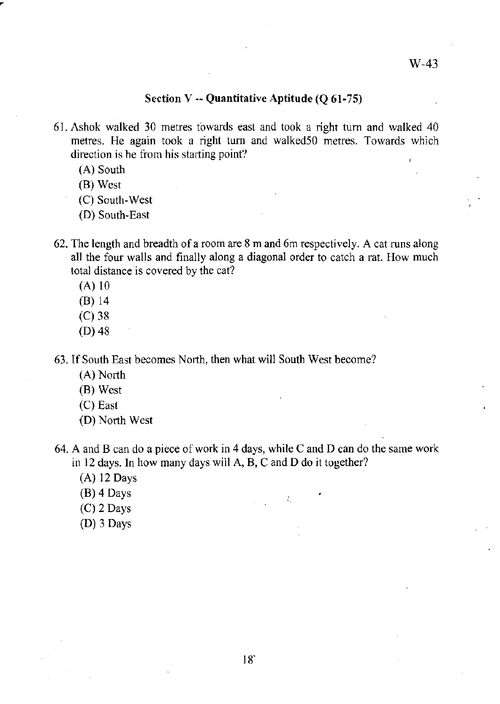#### Section  $V -$  Quantitative Aptitude (Q 61-75)

- 61. Ashok walked 30 metres towards east and took a right tum and walked 40 metres. He again took a right tum and walked50 metres. Towards which direction is he from his starting point?
	- (A) South
	- (B) West
	- (C) South-West
	- (D) South-East
- 62. The length and breadth of a room are 8 m and 6m respectively. A cat runs along all the four walls and finally along a diagonal order to catch a rat. How much total distance is covered by the cat?
	- (A) 10
	- (B) 14
	- (C) 38
	- (D) 48

63. If South East becomes North, then what will South West become?

- (A) North
- (B) West
- $(C)$  East
- (D) North West

64. A and B can do a piece of work in 4 days, while C and D can do the same work in 12 days. In how many days will  $A$ ,  $B$ ,  $C$  and  $D$  do it together?

> .  $\epsilon \sim \epsilon^*$

- (A) 12 Days
- (B) 4 Days
- (C) 2 Days
- (D) 3 Days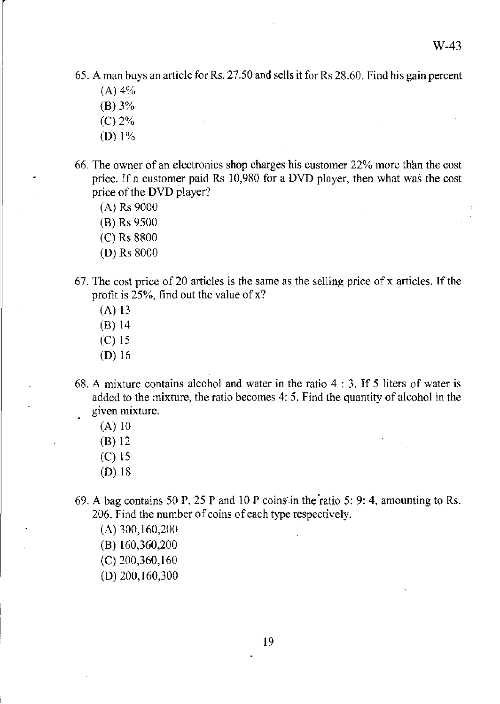65. A man buys an article for Rs. 27.50 and sells it for Rs 28.60. Find his gain percent

 $(A)$  4%

 $\begin{array}{c} \begin{array}{c} \end{array} \end{array}$ I

- (B) 3%
- (C) 2%
- (D) 1%
- 66. The owner of an electronics shop charges his customer 22% more thim the cost price. If a customer paid Rs 10,980 for a DVD player, then what was the cost price of the DVD player?
	- (A) Rs 9000
	- (B) Rs 9500
	- (C) Rs 8800
	- (D) Rs 8000
- 67. The cost price of 20 articles is the same as the selling price of  $x$  articles. If the profit is  $25\%$ , find out the value of x?
	- (A) 13
	- (B) 14
	- (C) IS
	- (D) 16
- 68. A mixture contains alcohol and water in the ratio 4 : 3. If 5 liters of water is added to the mixture, the ratio becomes 4: 5. Find the quantity of alcohol in the **given mixture.** 
	- (A) 10
	- (B) 12
	- (C) 15
	- (D) 18
- 69. A bag contains 50 P, 25 P and 10 P coins:in the'ratio 5: 9: 4, amounting to Rs. 206. Find the number of coins of each type respectively.
	- (A) 300,160,200
	- (B) 160,360,200
	- (C) 200,360,160
	- (D) 200,160,300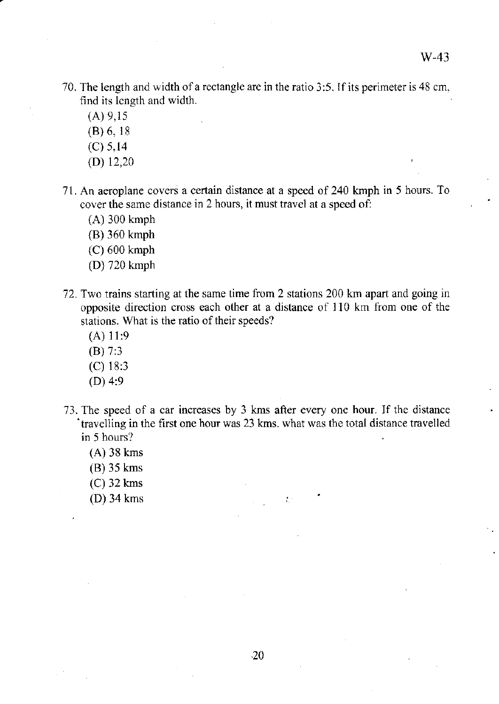- 70. The length and width of a rectangle are in the ratio 3:5. If its perimeter is 48 cm. find its length and width.
	- (A) 9,15
	- (8) 6, 18
	- (C) 5,14
	- (D) 12,20
- 71. An aeroplane covers a certain distance at a speed of 240 kmph in 5 hours. To cover the same distance in 2 hours, it must travel at a speed of:
	- (A) 300 kmph
	- (8) 360 kmph
	- (C) 600 kmph
	- (D) 720 kmph
- 72. Two trains starting at the same time from 2 stations 200 km apart and going in opposite direction cross each other at a distance of 110 km from one of the stations. What is the ratio of their speeds?
	- (A) 11:9
	- (8) 7:3
	- (C) 18:3
	- (D) 4:9
- 73. The speed of a car increases by 3 kms after every one hour. If the distance . travelling in the first one hour was 23 kms. what was the total distance travelled **in 5 hours?** 
	- (A) 38 kms
	- (8) 35 kms
	- $(C)$  32 kms
	- (D) 34 kms •